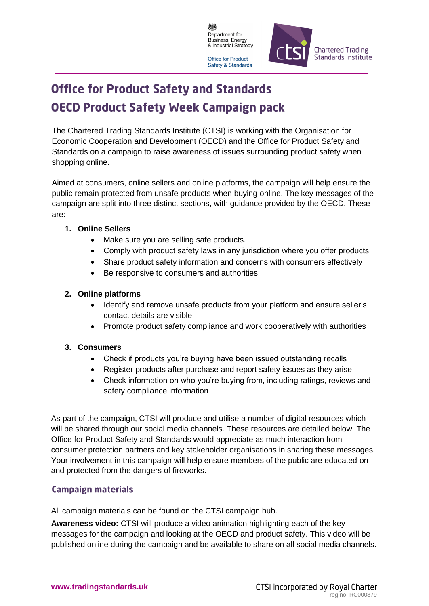

# **Office for Product Safety and Standards OECD Product Safety Week Campaign pack**

The Chartered Trading Standards Institute (CTSI) is working with the Organisation for Economic Cooperation and Development (OECD) and the Office for Product Safety and Standards on a campaign to raise awareness of issues surrounding product safety when shopping online.

Aimed at consumers, online sellers and online platforms, the campaign will help ensure the public remain protected from unsafe products when buying online. The key messages of the campaign are split into three distinct sections, with guidance provided by the OECD. These are:

### **1. Online Sellers**

- Make sure you are selling safe products.
- Comply with product safety laws in any jurisdiction where you offer products
- Share product safety information and concerns with consumers effectively
- Be responsive to consumers and authorities

### **2. Online platforms**

- Identify and remove unsafe products from your platform and ensure seller's contact details are visible
- Promote product safety compliance and work cooperatively with authorities

## **3. Consumers**

- Check if products you're buying have been issued outstanding recalls
- Register products after purchase and report safety issues as they arise
- Check information on who you're buying from, including ratings, reviews and safety compliance information

As part of the campaign, CTSI will produce and utilise a number of digital resources which will be shared through our social media channels. These resources are detailed below. The Office for Product Safety and Standards would appreciate as much interaction from consumer protection partners and key stakeholder organisations in sharing these messages. Your involvement in this campaign will help ensure members of the public are educated on and protected from the dangers of fireworks.

# **Campaign materials**

All campaign materials can be found on the CTSI campaign hub.

**Awareness video:** CTSI will produce a video animation highlighting each of the key messages for the campaign and looking at the OECD and product safety. This video will be published online during the campaign and be available to share on all social media channels.